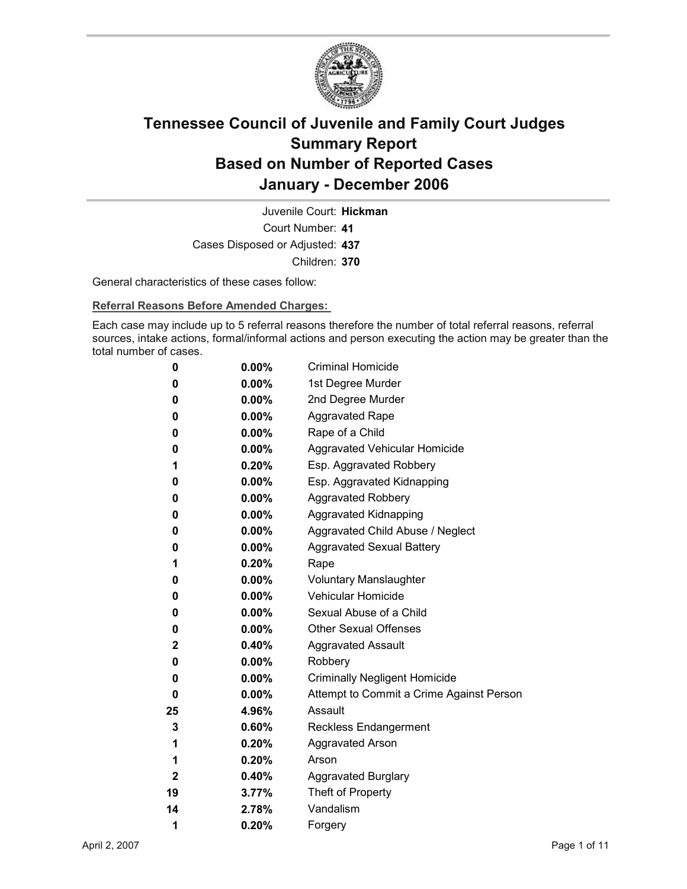

Court Number: **41** Juvenile Court: **Hickman** Cases Disposed or Adjusted: **437** Children: **370**

General characteristics of these cases follow:

**Referral Reasons Before Amended Charges:** 

Each case may include up to 5 referral reasons therefore the number of total referral reasons, referral sources, intake actions, formal/informal actions and person executing the action may be greater than the total number of cases.

| 0            | $0.00\%$ | <b>Criminal Homicide</b>                 |
|--------------|----------|------------------------------------------|
| 0            | $0.00\%$ | 1st Degree Murder                        |
| 0            | $0.00\%$ | 2nd Degree Murder                        |
| 0            | $0.00\%$ | <b>Aggravated Rape</b>                   |
| 0            | $0.00\%$ | Rape of a Child                          |
| 0            | $0.00\%$ | Aggravated Vehicular Homicide            |
| 1            | 0.20%    | Esp. Aggravated Robbery                  |
| 0            | $0.00\%$ | Esp. Aggravated Kidnapping               |
| 0            | $0.00\%$ | <b>Aggravated Robbery</b>                |
| 0            | $0.00\%$ | <b>Aggravated Kidnapping</b>             |
| 0            | $0.00\%$ | Aggravated Child Abuse / Neglect         |
| 0            | $0.00\%$ | <b>Aggravated Sexual Battery</b>         |
| 1            | 0.20%    | Rape                                     |
| 0            | $0.00\%$ | <b>Voluntary Manslaughter</b>            |
| 0            | $0.00\%$ | <b>Vehicular Homicide</b>                |
| 0            | $0.00\%$ | Sexual Abuse of a Child                  |
| 0            | $0.00\%$ | <b>Other Sexual Offenses</b>             |
| 2            | $0.40\%$ | <b>Aggravated Assault</b>                |
| 0            | $0.00\%$ | Robbery                                  |
| 0            | $0.00\%$ | <b>Criminally Negligent Homicide</b>     |
| 0            | $0.00\%$ | Attempt to Commit a Crime Against Person |
| 25           | 4.96%    | Assault                                  |
| 3            | $0.60\%$ | <b>Reckless Endangerment</b>             |
| 1            | $0.20\%$ | <b>Aggravated Arson</b>                  |
| 1            | $0.20\%$ | Arson                                    |
| $\mathbf{2}$ | 0.40%    | <b>Aggravated Burglary</b>               |
| 19           | $3.77\%$ | Theft of Property                        |
| 14           | 2.78%    | Vandalism                                |
| 1            | 0.20%    | Forgery                                  |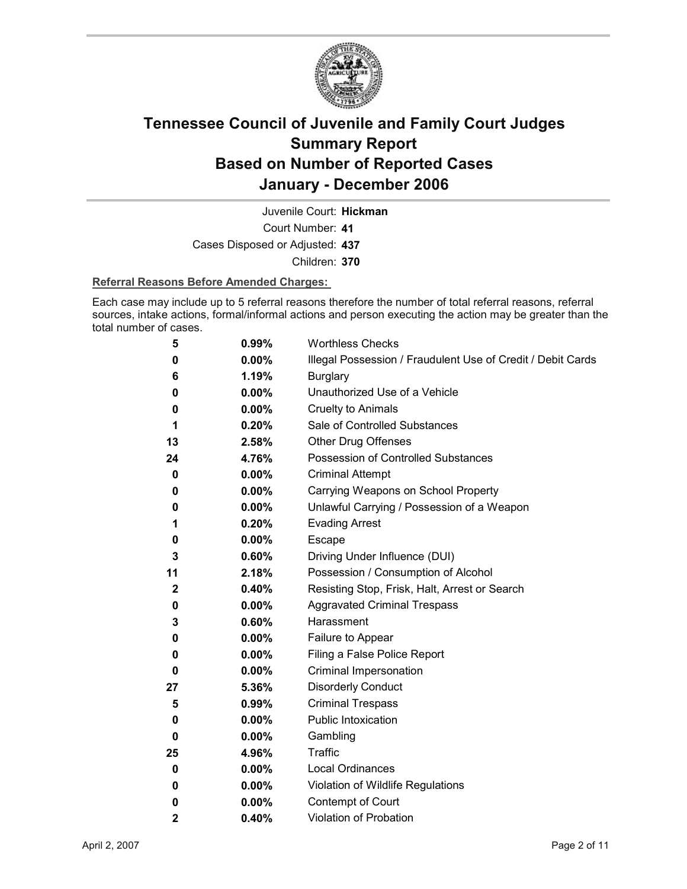

Juvenile Court: **Hickman**

Court Number: **41**

Cases Disposed or Adjusted: **437**

Children: **370**

#### **Referral Reasons Before Amended Charges:**

Each case may include up to 5 referral reasons therefore the number of total referral reasons, referral sources, intake actions, formal/informal actions and person executing the action may be greater than the total number of cases.

| 5            | 0.99%    | <b>Worthless Checks</b>                                     |
|--------------|----------|-------------------------------------------------------------|
| 0            | 0.00%    | Illegal Possession / Fraudulent Use of Credit / Debit Cards |
| 6            | 1.19%    | <b>Burglary</b>                                             |
| 0            | $0.00\%$ | Unauthorized Use of a Vehicle                               |
| 0            | 0.00%    | <b>Cruelty to Animals</b>                                   |
| 1            | 0.20%    | Sale of Controlled Substances                               |
| 13           | 2.58%    | <b>Other Drug Offenses</b>                                  |
| 24           | 4.76%    | Possession of Controlled Substances                         |
| 0            | 0.00%    | <b>Criminal Attempt</b>                                     |
| 0            | $0.00\%$ | Carrying Weapons on School Property                         |
| 0            | 0.00%    | Unlawful Carrying / Possession of a Weapon                  |
| 1            | 0.20%    | <b>Evading Arrest</b>                                       |
| 0            | 0.00%    | Escape                                                      |
| 3            | 0.60%    | Driving Under Influence (DUI)                               |
| 11           | 2.18%    | Possession / Consumption of Alcohol                         |
| $\mathbf 2$  | 0.40%    | Resisting Stop, Frisk, Halt, Arrest or Search               |
| 0            | $0.00\%$ | <b>Aggravated Criminal Trespass</b>                         |
| 3            | 0.60%    | Harassment                                                  |
| 0            | $0.00\%$ | Failure to Appear                                           |
| 0            | $0.00\%$ | Filing a False Police Report                                |
| 0            | 0.00%    | Criminal Impersonation                                      |
| 27           | 5.36%    | <b>Disorderly Conduct</b>                                   |
| 5            | 0.99%    | <b>Criminal Trespass</b>                                    |
| 0            | 0.00%    | <b>Public Intoxication</b>                                  |
| 0            | $0.00\%$ | Gambling                                                    |
| 25           | 4.96%    | Traffic                                                     |
| 0            | 0.00%    | <b>Local Ordinances</b>                                     |
| 0            | $0.00\%$ | Violation of Wildlife Regulations                           |
| 0            | $0.00\%$ | Contempt of Court                                           |
| $\mathbf{2}$ | 0.40%    | <b>Violation of Probation</b>                               |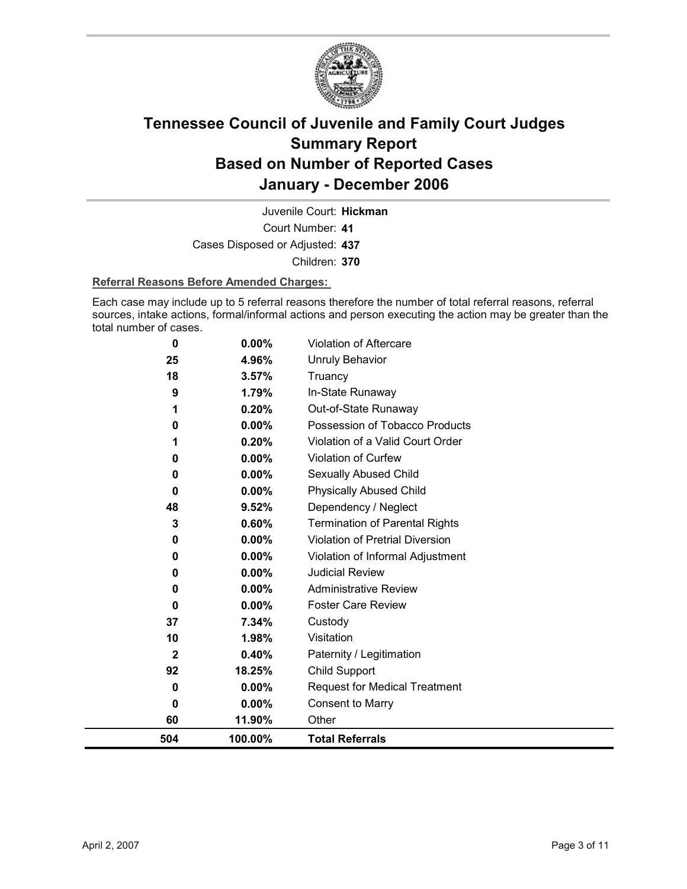

Juvenile Court: **Hickman**

Court Number: **41** Cases Disposed or Adjusted: **437**

Children: **370**

#### **Referral Reasons Before Amended Charges:**

Each case may include up to 5 referral reasons therefore the number of total referral reasons, referral sources, intake actions, formal/informal actions and person executing the action may be greater than the total number of cases.

| 0           | 0.00%    | <b>Violation of Aftercare</b>          |
|-------------|----------|----------------------------------------|
| 25          | 4.96%    | Unruly Behavior                        |
| 18          | 3.57%    | Truancy                                |
| 9           | 1.79%    | In-State Runaway                       |
| 1           | 0.20%    | Out-of-State Runaway                   |
| 0           | $0.00\%$ | Possession of Tobacco Products         |
|             | 0.20%    | Violation of a Valid Court Order       |
| 0           | 0.00%    | Violation of Curfew                    |
| 0           | 0.00%    | Sexually Abused Child                  |
| 0           | 0.00%    | <b>Physically Abused Child</b>         |
| 48          | 9.52%    | Dependency / Neglect                   |
| 3           | 0.60%    | <b>Termination of Parental Rights</b>  |
| 0           | 0.00%    | <b>Violation of Pretrial Diversion</b> |
| 0           | 0.00%    | Violation of Informal Adjustment       |
| 0           | $0.00\%$ | <b>Judicial Review</b>                 |
| 0           | $0.00\%$ | <b>Administrative Review</b>           |
| 0           | $0.00\%$ | <b>Foster Care Review</b>              |
| 37          | 7.34%    | Custody                                |
| 10          | 1.98%    | Visitation                             |
| $\mathbf 2$ | 0.40%    | Paternity / Legitimation               |
| 92          | 18.25%   | Child Support                          |
| 0           | $0.00\%$ | <b>Request for Medical Treatment</b>   |
| 0           | 0.00%    | <b>Consent to Marry</b>                |
| 60          | 11.90%   | Other                                  |
| 504         | 100.00%  | <b>Total Referrals</b>                 |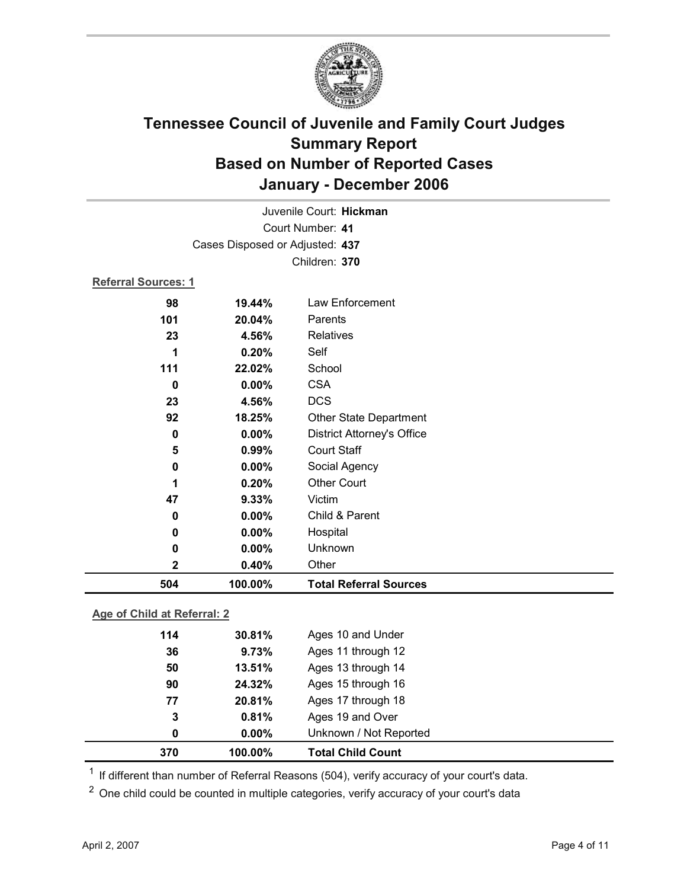

| Juvenile Court: Hickman         |               |                                   |  |
|---------------------------------|---------------|-----------------------------------|--|
| Court Number: 41                |               |                                   |  |
| Cases Disposed or Adjusted: 437 |               |                                   |  |
|                                 | Children: 370 |                                   |  |
| <b>Referral Sources: 1</b>      |               |                                   |  |
| 98                              | 19.44%        | Law Enforcement                   |  |
| 101                             | 20.04%        | Parents                           |  |
| 23                              | 4.56%         | Relatives                         |  |
| 1                               | 0.20%         | Self                              |  |
| 111                             | 22.02%        | School                            |  |
| 0                               | 0.00%         | <b>CSA</b>                        |  |
| 23                              | 4.56%         | <b>DCS</b>                        |  |
| 92                              | 18.25%        | Other State Department            |  |
| 0                               | 0.00%         | <b>District Attorney's Office</b> |  |
| 5                               | 0.99%         | <b>Court Staff</b>                |  |
| 0                               | 0.00%         | Social Agency                     |  |
| 1                               | 0.20%         | <b>Other Court</b>                |  |
| 47                              | 9.33%         | Victim                            |  |
| 0                               | 0.00%         | Child & Parent                    |  |
| 0                               | 0.00%         | Hospital                          |  |
| 0                               | 0.00%         | Unknown                           |  |
| 2                               | 0.40%         | Other                             |  |
| 504                             | 100.00%       | <b>Total Referral Sources</b>     |  |

### **Age of Child at Referral: 2**

| 370 | 100.00%  | <b>Total Child Count</b> |
|-----|----------|--------------------------|
| 0   | $0.00\%$ | Unknown / Not Reported   |
| 3   | 0.81%    | Ages 19 and Over         |
| 77  | 20.81%   | Ages 17 through 18       |
| 90  | 24.32%   | Ages 15 through 16       |
| 50  | 13.51%   | Ages 13 through 14       |
| 36  | 9.73%    | Ages 11 through 12       |
| 114 | 30.81%   | Ages 10 and Under        |
|     |          |                          |

 $1$  If different than number of Referral Reasons (504), verify accuracy of your court's data.

<sup>2</sup> One child could be counted in multiple categories, verify accuracy of your court's data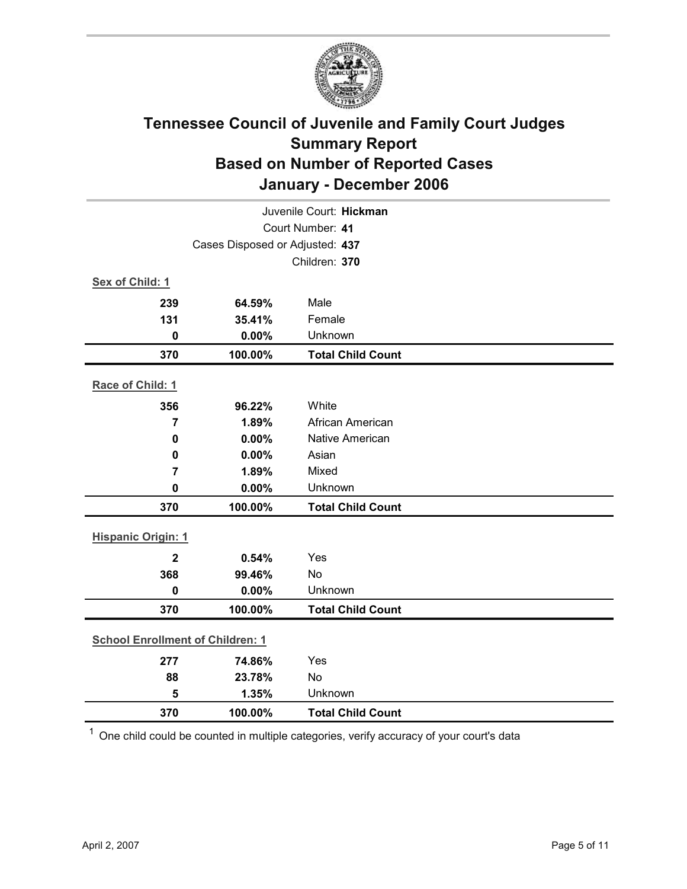

| Juvenile Court: Hickman                 |                                 |                          |  |  |
|-----------------------------------------|---------------------------------|--------------------------|--|--|
| Court Number: 41                        |                                 |                          |  |  |
|                                         | Cases Disposed or Adjusted: 437 |                          |  |  |
|                                         |                                 | Children: 370            |  |  |
| Sex of Child: 1                         |                                 |                          |  |  |
| 239                                     | 64.59%                          | Male                     |  |  |
| 131                                     | 35.41%                          | Female                   |  |  |
| $\bf{0}$                                | 0.00%                           | Unknown                  |  |  |
| 370                                     | 100.00%                         | <b>Total Child Count</b> |  |  |
| Race of Child: 1                        |                                 |                          |  |  |
| 356                                     | 96.22%                          | White                    |  |  |
| $\overline{7}$                          | 1.89%                           | African American         |  |  |
| $\pmb{0}$                               | 0.00%                           | <b>Native American</b>   |  |  |
| $\mathbf 0$                             | 0.00%                           | Asian                    |  |  |
| $\overline{7}$                          | 1.89%                           | Mixed                    |  |  |
| $\mathbf 0$                             | $0.00\%$                        | Unknown                  |  |  |
| 370                                     | 100.00%                         | <b>Total Child Count</b> |  |  |
| <b>Hispanic Origin: 1</b>               |                                 |                          |  |  |
| $\overline{2}$                          | 0.54%                           | Yes                      |  |  |
| 368                                     | 99.46%                          | No                       |  |  |
| $\mathbf 0$                             | 0.00%                           | Unknown                  |  |  |
| 370                                     | 100.00%                         | <b>Total Child Count</b> |  |  |
| <b>School Enrollment of Children: 1</b> |                                 |                          |  |  |
| 277                                     | 74.86%                          | Yes                      |  |  |
| 88                                      | 23.78%                          | No                       |  |  |
| 5                                       | 1.35%                           | Unknown                  |  |  |
| 370                                     | 100.00%                         | <b>Total Child Count</b> |  |  |

 $1$  One child could be counted in multiple categories, verify accuracy of your court's data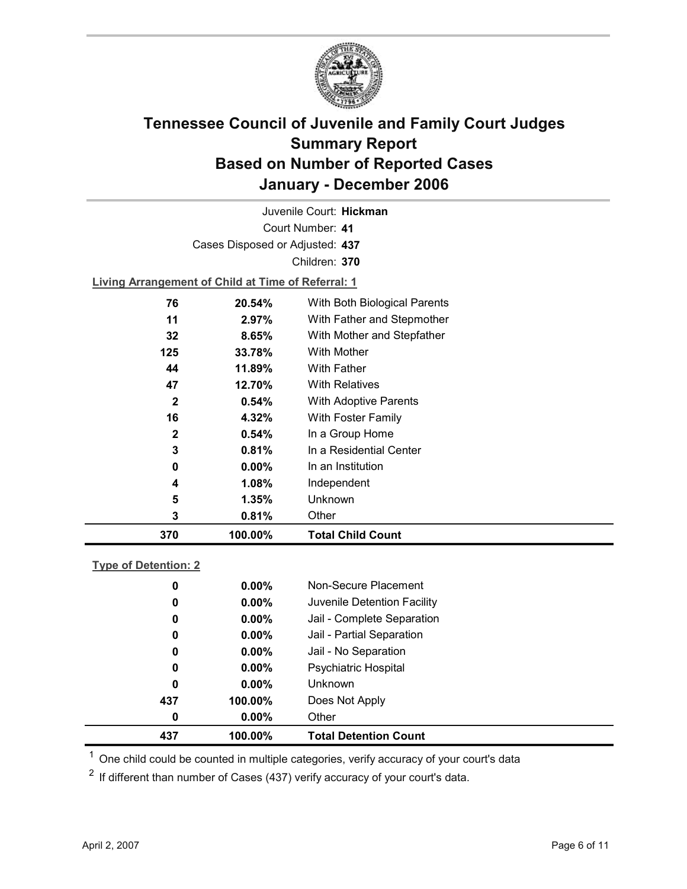

Court Number: **41** Juvenile Court: **Hickman** Cases Disposed or Adjusted: **437** Children: **370 Living Arrangement of Child at Time of Referral: 1 76 20.54%** With Both Biological Parents **11 2.97%** With Father and Stepmother

| 370          | 100.00%  | <b>Total Child Count</b>   |
|--------------|----------|----------------------------|
| 3            | 0.81%    | Other                      |
| 5            | $1.35\%$ | Unknown                    |
| 4            | 1.08%    | Independent                |
| 0            | $0.00\%$ | In an Institution          |
| 3            | 0.81%    | In a Residential Center    |
| $\mathbf{2}$ | 0.54%    | In a Group Home            |
| 16           | 4.32%    | With Foster Family         |
| $\mathbf{2}$ | 0.54%    | With Adoptive Parents      |
| 47           | 12.70%   | <b>With Relatives</b>      |
| 44           | 11.89%   | <b>With Father</b>         |
| 125          | 33.78%   | <b>With Mother</b>         |
| 32           | 8.65%    | With Mother and Stepfather |
| 11           | 2.97%    | With Father and Stepmother |

### **Type of Detention: 2**

| 437 | 100.00%  | <b>Total Detention Count</b> |  |
|-----|----------|------------------------------|--|
| 0   | $0.00\%$ | Other                        |  |
| 437 | 100.00%  | Does Not Apply               |  |
| 0   | $0.00\%$ | <b>Unknown</b>               |  |
| 0   | $0.00\%$ | <b>Psychiatric Hospital</b>  |  |
| 0   | $0.00\%$ | Jail - No Separation         |  |
| 0   | $0.00\%$ | Jail - Partial Separation    |  |
| 0   | $0.00\%$ | Jail - Complete Separation   |  |
| 0   | $0.00\%$ | Juvenile Detention Facility  |  |
| 0   | $0.00\%$ | Non-Secure Placement         |  |
|     |          |                              |  |

 $<sup>1</sup>$  One child could be counted in multiple categories, verify accuracy of your court's data</sup>

 $2$  If different than number of Cases (437) verify accuracy of your court's data.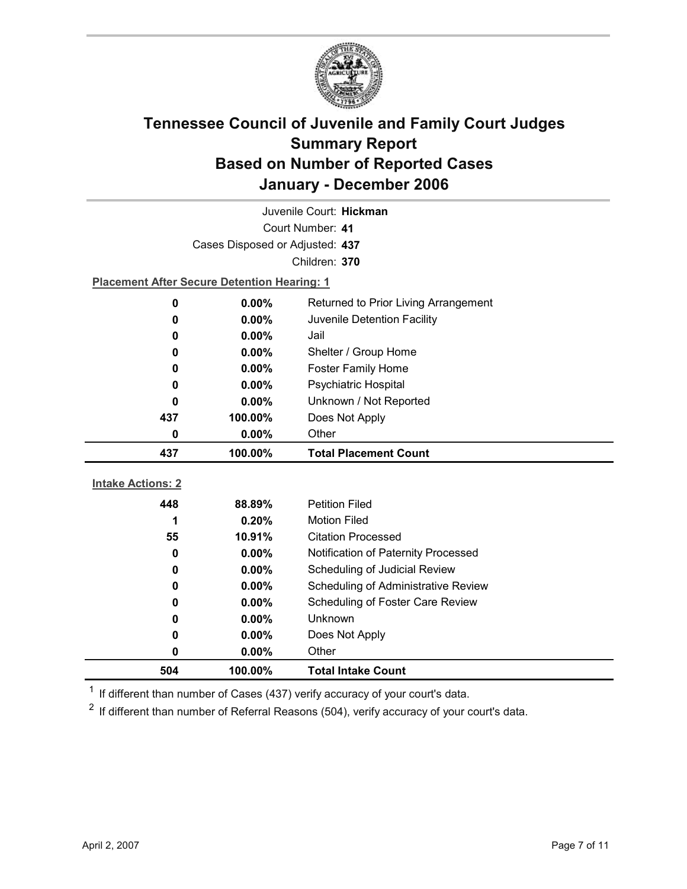

| Juvenile Court: Hickman  |                                                    |                                      |  |
|--------------------------|----------------------------------------------------|--------------------------------------|--|
| Court Number: 41         |                                                    |                                      |  |
|                          | Cases Disposed or Adjusted: 437                    |                                      |  |
|                          |                                                    | Children: 370                        |  |
|                          | <b>Placement After Secure Detention Hearing: 1</b> |                                      |  |
| 0                        | $0.00\%$                                           | Returned to Prior Living Arrangement |  |
| 0                        | 0.00%                                              | Juvenile Detention Facility          |  |
| 0                        | 0.00%                                              | Jail                                 |  |
| 0                        | 0.00%                                              | Shelter / Group Home                 |  |
| 0                        | 0.00%                                              | <b>Foster Family Home</b>            |  |
| 0                        | 0.00%                                              | Psychiatric Hospital                 |  |
| 0                        | $0.00\%$                                           | Unknown / Not Reported               |  |
| 437                      | 100.00%                                            | Does Not Apply                       |  |
| 0                        | $0.00\%$                                           | Other                                |  |
|                          |                                                    |                                      |  |
| 437                      | 100.00%                                            | <b>Total Placement Count</b>         |  |
|                          |                                                    |                                      |  |
| <b>Intake Actions: 2</b> |                                                    |                                      |  |
| 448                      | 88.89%                                             | <b>Petition Filed</b>                |  |
| 1                        | 0.20%                                              | <b>Motion Filed</b>                  |  |
| 55                       | 10.91%                                             | <b>Citation Processed</b>            |  |
| 0                        | 0.00%                                              | Notification of Paternity Processed  |  |
| 0                        | 0.00%                                              | Scheduling of Judicial Review        |  |
| 0                        | 0.00%                                              | Scheduling of Administrative Review  |  |
| 0                        | 0.00%                                              | Scheduling of Foster Care Review     |  |
| 0                        | 0.00%                                              | <b>Unknown</b>                       |  |
| 0                        | $0.00\%$                                           | Does Not Apply                       |  |
| 0<br>504                 | 0.00%<br>100.00%                                   | Other<br><b>Total Intake Count</b>   |  |

 $1$  If different than number of Cases (437) verify accuracy of your court's data.

 $2$  If different than number of Referral Reasons (504), verify accuracy of your court's data.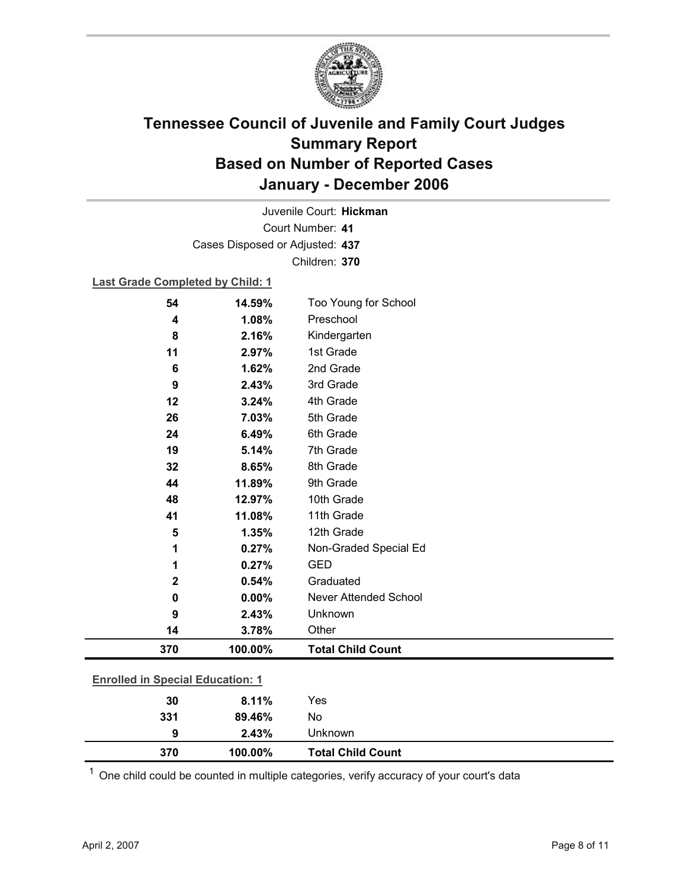

Court Number: **41** Juvenile Court: **Hickman** Cases Disposed or Adjusted: **437** Children: **370**

#### **Last Grade Completed by Child: 1**

| 54                                      | 14.59%  | Too Young for School         |
|-----------------------------------------|---------|------------------------------|
| 4                                       | 1.08%   | Preschool                    |
| 8                                       | 2.16%   | Kindergarten                 |
| 11                                      | 2.97%   | 1st Grade                    |
| 6                                       | 1.62%   | 2nd Grade                    |
| 9                                       | 2.43%   | 3rd Grade                    |
| 12                                      | 3.24%   | 4th Grade                    |
| 26                                      | 7.03%   | 5th Grade                    |
| 24                                      | 6.49%   | 6th Grade                    |
| 19                                      | 5.14%   | 7th Grade                    |
| 32                                      | 8.65%   | 8th Grade                    |
| 44                                      | 11.89%  | 9th Grade                    |
| 48                                      | 12.97%  | 10th Grade                   |
| 41                                      | 11.08%  | 11th Grade                   |
| 5                                       | 1.35%   | 12th Grade                   |
| 1                                       | 0.27%   | Non-Graded Special Ed        |
| 1                                       | 0.27%   | <b>GED</b>                   |
| $\mathbf 2$                             | 0.54%   | Graduated                    |
| 0                                       | 0.00%   | <b>Never Attended School</b> |
| 9                                       | 2.43%   | Unknown                      |
| 14                                      | 3.78%   | Other                        |
| 370                                     | 100.00% | <b>Total Child Count</b>     |
| <b>Enrolled in Special Education: 1</b> |         |                              |
| 30                                      | 8.11%   | Yes                          |
| 331                                     | 89.46%  | No                           |
|                                         |         |                              |

 $1$  One child could be counted in multiple categories, verify accuracy of your court's data

**9 2.43%** Unknown

**370 100.00% Total Child Count**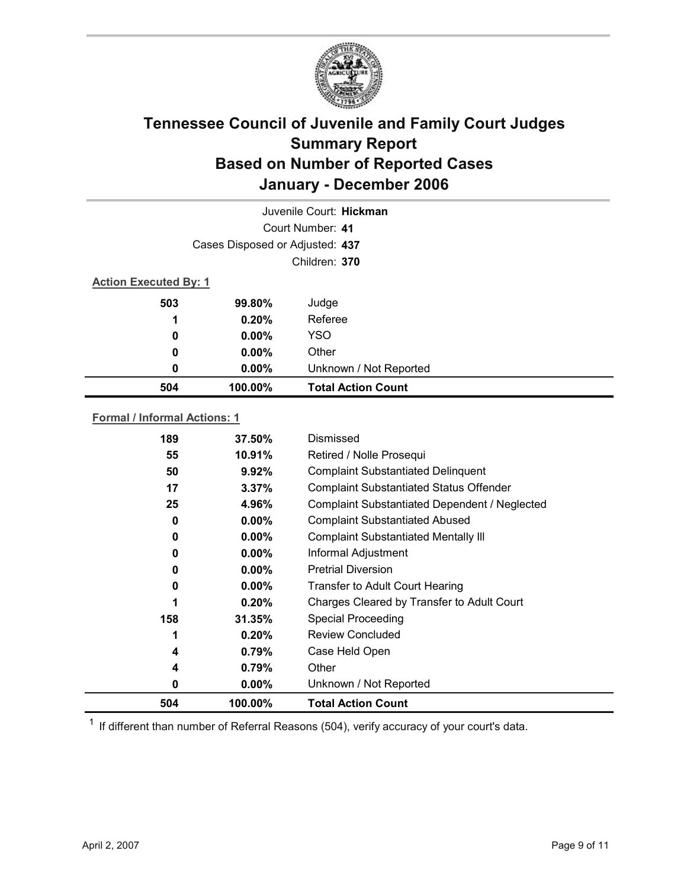

|                              | Juvenile Court: Hickman         |                           |  |  |
|------------------------------|---------------------------------|---------------------------|--|--|
|                              |                                 | Court Number: 41          |  |  |
|                              | Cases Disposed or Adjusted: 437 |                           |  |  |
|                              | Children: 370                   |                           |  |  |
| <b>Action Executed By: 1</b> |                                 |                           |  |  |
| 503                          | 99.80%                          | Judge                     |  |  |
| 1                            | 0.20%                           | Referee                   |  |  |
| 0                            | $0.00\%$                        | <b>YSO</b>                |  |  |
| 0                            | $0.00\%$                        | Other                     |  |  |
| 0                            | $0.00\%$                        | Unknown / Not Reported    |  |  |
| 504                          | 100.00%                         | <b>Total Action Count</b> |  |  |
|                              |                                 |                           |  |  |

#### **Formal / Informal Actions: 1**

| 189 | $37.50\%$ | Dismissed                                      |
|-----|-----------|------------------------------------------------|
| 55  | 10.91%    | Retired / Nolle Prosequi                       |
| 50  | 9.92%     | <b>Complaint Substantiated Delinquent</b>      |
| 17  | 3.37%     | <b>Complaint Substantiated Status Offender</b> |
| 25  | 4.96%     | Complaint Substantiated Dependent / Neglected  |
| 0   | $0.00\%$  | <b>Complaint Substantiated Abused</b>          |
| 0   | $0.00\%$  | <b>Complaint Substantiated Mentally III</b>    |
| 0   | $0.00\%$  | Informal Adjustment                            |
| 0   | $0.00\%$  | <b>Pretrial Diversion</b>                      |
| 0   | $0.00\%$  | Transfer to Adult Court Hearing                |
| 1   | 0.20%     | Charges Cleared by Transfer to Adult Court     |
| 158 | 31.35%    | <b>Special Proceeding</b>                      |
| 1   | 0.20%     | <b>Review Concluded</b>                        |
| 4   | $0.79\%$  | Case Held Open                                 |
| 4   | 0.79%     | Other                                          |
| 0   | $0.00\%$  | Unknown / Not Reported                         |
| 504 | 100.00%   | <b>Total Action Count</b>                      |

 $1$  If different than number of Referral Reasons (504), verify accuracy of your court's data.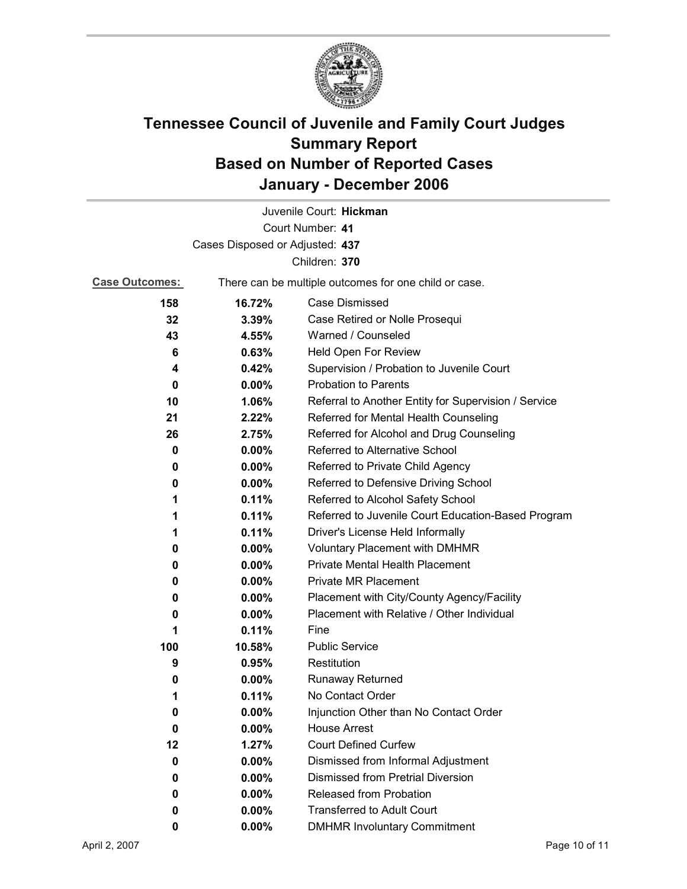

|                                 |                                                       | Juvenile Court: Hickman                              |
|---------------------------------|-------------------------------------------------------|------------------------------------------------------|
|                                 |                                                       | Court Number: 41                                     |
| Cases Disposed or Adjusted: 437 |                                                       |                                                      |
|                                 |                                                       | Children: 370                                        |
| <b>Case Outcomes:</b>           | There can be multiple outcomes for one child or case. |                                                      |
| 158                             | 16.72%                                                | Case Dismissed                                       |
| 32                              | 3.39%                                                 | Case Retired or Nolle Prosequi                       |
| 43                              | 4.55%                                                 | Warned / Counseled                                   |
| 6                               | 0.63%                                                 | Held Open For Review                                 |
| 4                               | 0.42%                                                 | Supervision / Probation to Juvenile Court            |
| 0                               | $0.00\%$                                              | <b>Probation to Parents</b>                          |
| 10                              | 1.06%                                                 | Referral to Another Entity for Supervision / Service |
| 21                              | 2.22%                                                 | Referred for Mental Health Counseling                |
| 26                              | 2.75%                                                 | Referred for Alcohol and Drug Counseling             |
| 0                               | 0.00%                                                 | Referred to Alternative School                       |
| 0                               | $0.00\%$                                              | Referred to Private Child Agency                     |
| 0                               | 0.00%                                                 | Referred to Defensive Driving School                 |
| 1                               | 0.11%                                                 | Referred to Alcohol Safety School                    |
| 1                               | 0.11%                                                 | Referred to Juvenile Court Education-Based Program   |
| 1                               | 0.11%                                                 | Driver's License Held Informally                     |
| 0                               | $0.00\%$                                              | <b>Voluntary Placement with DMHMR</b>                |
| 0                               | $0.00\%$                                              | Private Mental Health Placement                      |
| 0                               | $0.00\%$                                              | <b>Private MR Placement</b>                          |
| 0                               | 0.00%                                                 | Placement with City/County Agency/Facility           |
| 0                               | $0.00\%$                                              | Placement with Relative / Other Individual           |
| 1                               | 0.11%                                                 | Fine                                                 |
| 100                             | 10.58%                                                | <b>Public Service</b>                                |
| 9                               | 0.95%                                                 | Restitution                                          |
| 0                               | $0.00\%$                                              | Runaway Returned                                     |
| 1                               | 0.11%                                                 | No Contact Order                                     |
| 0                               | 0.00%                                                 | Injunction Other than No Contact Order               |
| 0                               | 0.00%                                                 | <b>House Arrest</b>                                  |
| 12                              | 1.27%                                                 | <b>Court Defined Curfew</b>                          |
| 0                               | 0.00%                                                 | Dismissed from Informal Adjustment                   |
| 0                               | $0.00\%$                                              | <b>Dismissed from Pretrial Diversion</b>             |
| 0                               | $0.00\%$                                              | Released from Probation                              |
| 0                               | $0.00\%$                                              | <b>Transferred to Adult Court</b>                    |
| 0                               | 0.00%                                                 | <b>DMHMR Involuntary Commitment</b>                  |